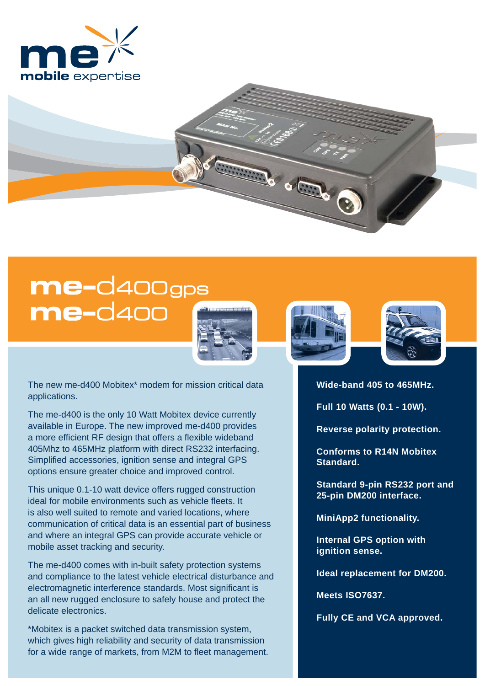

## me-d400gps **me-**d400



**CONTROLLED** 

The new me-d400 Mobitex\* modem for mission critical data applications.

The me-d400 is the only 10 Watt Mobitex device currently available in Europe. The new improved me-d400 provides a more efficient RF design that offers a flexible wideband 405Mhz to 465MHz platform with direct RS232 interfacing. Simplified accessories, ignition sense and integral GPS options ensure greater choice and improved control.

This unique 0.1-10 watt device offers rugged construction ideal for mobile environments such as vehicle fleets. It is also well suited to remote and varied locations, where communication of critical data is an essential part of business and where an integral GPS can provide accurate vehicle or mobile asset tracking and security.

The me-d400 comes with in-built safety protection systems and compliance to the latest vehicle electrical disturbance and electromagnetic interference standards. Most significant is an all new rugged enclosure to safely house and protect the delicate electronics.

\*Mobitex is a packet switched data transmission system, which gives high reliability and security of data transmission for a wide range of markets, from M2M to fleet management.





**Wide-band 405 to 465MHz.** 

**Full 10 Watts (0.1 - 10W).** 

**Reverse polarity protection.**

**Conforms to R14N Mobitex Standard.**

**Standard 9-pin RS232 port and 25-pin DM200 interface.**

**MiniApp2 functionality.**

**Internal GPS option with ignition sense.**

**Ideal replacement for DM200.**

**Meets ISO7637.**

**Fully CE and VCA approved.**